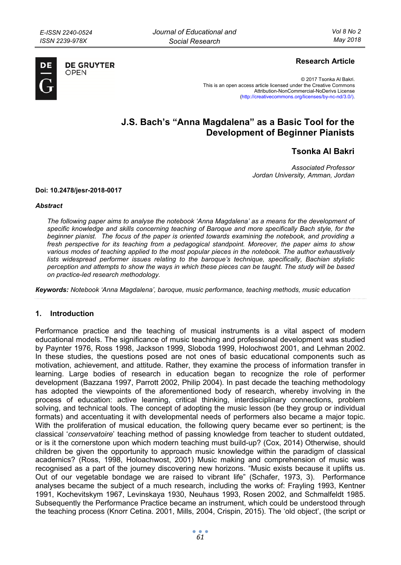

**DE GRUYTER** OPFN

## **Research Article**

© 2017 Tsonka Al Bakri. This is an open access article licensed under the Creative Commons Attribution-NonCommercial-NoDerivs License (http://creativecommons.org/licenses/by-nc-nd/3.0/).

# **J.S. Bach's "Anna Magdalena" as a Basic Tool for the Development of Beginner Pianists**

## **Tsonka Al Bakri**

*Associated Professor Jordan University, Amman, Jordan* 

### **Doi: 10.2478/jesr-2018-0017**

#### *Abstract*

*The following paper aims to analyse the notebook 'Anna Magdalena' as a means for the development of specific knowledge and skills concerning teaching of Baroque and more specifically Bach style, for the beginner pianist. The focus of the paper is oriented towards examining the notebook, and providing a fresh perspective for its teaching from a pedagogical standpoint. Moreover, the paper aims to show*  various modes of teaching applied to the most popular pieces in the notebook. The author exhaustively *lists widespread performer issues relating to the baroque's technique, specifically, Bachian stylistic perception and attempts to show the ways in which these pieces can be taught. The study will be based on practice-led research methodology.* 

*Кeywords: Notebook 'Anna Magdalena', baroque, music performance, teaching methods, music education* 

### **1. Introduction**

Performance practice and the teaching of musical instruments is a vital aspect of modern educational models. The significance of music teaching and professional development was studied by Paynter 1976, Ross 1998, Jackson 1999, Sloboda 1999, Holochwost 2001, and Lehman 2002. In these studies, the questions posed are not ones of basic educational components such as motivation, achievement, and attitude. Rather, they examine the process of information transfer in learning. Large bodies of research in education began to recognize the role of performer development (Bazzana 1997, Parrott 2002, Philip 2004). In past decade the teaching methodology has adopted the viewpoints of the aforementioned body of research, whereby involving in the process of education: active learning, critical thinking, interdisciplinary connections, problem solving, and technical tools. The concept of adopting the music lesson (be they group or individual formats) and accentuating it with developmental needs of performers also became a major topic. With the proliferation of musical education, the following query became ever so pertinent; is the classical '*conservatoire*' teaching method of passing knowledge from teacher to student outdated, or is it the cornerstone upon which modern teaching must build-up? (Cox, 2014) Otherwise, should children be given the opportunity to approach music knowledge within the paradigm of classical academics? (Ross, 1998, Holoachwost, 2001) Music making and comprehension of music was recognised as a part of the journey discovering new horizons. "Music exists because it uplifts us. Out of our vegetable bondage we are raised to vibrant life" (Schafer, 1973, 3). Performance analyses became the subject of a much research, including the works of: Frayling 1993, Kentner 1991, Kochevitskym 1967, Levinskaya 1930, Neuhaus 1993, Rosen 2002, and Schmalfeldt 1985. Subsequently the Performance Practice became an instrument, which could be understood through the teaching process (Knorr Cetina. 2001, Mills, 2004, Crispin, 2015). The 'old object', (the script or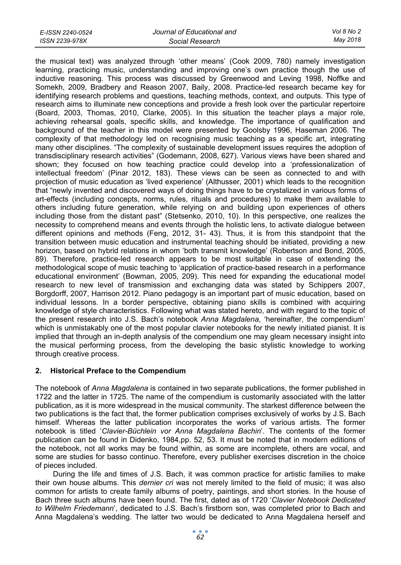| E-ISSN 2240-0524 | Journal of Educational and | Vol 8 No 2 |
|------------------|----------------------------|------------|
| ISSN 2239-978X   | Social Research            | May 2018   |

the musical text) was analyzed through 'other means' (Cook 2009, 780) namely investigation learning, practicing music, understanding and improving one's own practice though the use of inductive reasoning. This process was discussed by Greenwood and Leving 1998, Noffke and Somekh, 2009, Bradbery and Reason 2007, Baily, 2008. Practice-led research became key for identifying research problems and questions, teaching methods, context, and outputs. This type of research aims to illuminate new conceptions and provide a fresh look over the particular repertoire (Board, 2003, Thomas, 2010, Clarke, 2005). In this situation the teacher plays a major role, achieving rehearsal goals, specific skills, and knowledge. The importance of qualification and background of the teacher in this model were presented by Goolsby 1996, Haseman 2006. The complexity of that methodology led on recognising music teaching as a specific art, integrating many other disciplines. "The complexity of sustainable development issues requires the adoption of transdisciplinary research activities" (Godemann, 2008, 627). Various views have been shared and shown; they focused on how teaching practice could develop into a 'professionalization of intellectual freedom' (Pinar 2012, 183). These views can be seen as connected to and with projection of music education as 'lived experience' (Althusser, 2001) which leads to the recognition that "newly invented and discovered ways of doing things have to be crystalized in various forms of art-effects (including concepts, norms, rules, rituals and procedures) to make them available to others including future generation, while relying on and building upon experiences of others including those from the distant past" (Stetsenko, 2010, 10). In this perspective, one realizes the necessity to comprehend means and events through the holistic lens, to activate dialogue between different opinions and methods (Feng, 2012, 31- 43). Thus, it is from this standpoint that the transition between music education and instrumental teaching should be initiated, providing a new horizon, based on hybrid relations in whom 'both transmit knowledge' (Robertson and Bond, 2005, 89). Therefore, practice-led research appears to be most suitable in case of extending the methodological scope of music teaching to 'application of practice-based research in a performance educational environment' (Bowman, 2005, 209). This need for expanding the educational model research to new level of transmission and exchanging data was stated by Schippers 2007, Borgdorff, 2007, Harrison 2012. Piano pedagogy is an important part of music education, based on individual lessons. In a border perspective, obtaining piano skills is combined with acquiring knowledge of style characteristics. Following what was stated hereto, and with regard to the topic of the present research into J.S. Bach's notebook *Anna Magdalena*, 'hereinafter, the compendium' which is unmistakably one of the most popular clavier notebooks for the newly initiated pianist. It is implied that through an in-depth analysis of the compendium one may gleam necessary insight into the musical performing process, from the developing the basic stylistic knowledge to working through creative process.

## **2. Historical Preface to the Compendium**

The notebook of *Anna Magdalena* is contained in two separate publications, the former published in 1722 and the latter in 1725. The name of the compendium is customarily associated with the latter publication, as it is more widespread in the musical community. The starkest difference between the two publications is the fact that, the former publication comprises exclusively of works by J.S. Bach himself. Whereas the latter publication incorporates the works of various artists. The former notebook is titled '*Clavier-Büchlein vor Anna Magdalena Bachin*'. The contents of the former publication can be found in Didenko, 1984,pp. 52, 53. It must be noted that in modern editions of the notebook, not all works may be found within, as some are incomplete, others are vocal, and some are studies for basso continuo. Therefore, every publisher exercises discretion in the choice of pieces included.

During the life and times of J.S. Bach, it was common practice for artistic families to make their own house albums. This *dernier cri* was not merely limited to the field of music; it was also common for artists to create family albums of poetry, paintings, and short stories. In the house of Bach three such albums have been found. The first, dated as of 1720 '*Clavier Notebook Dedicated to Wilhelm Friedemann*', dedicated to J.S. Bach's firstborn son, was completed prior to Bach and Anna Magdalena's wedding. The latter two would be dedicated to Anna Magdalena herself and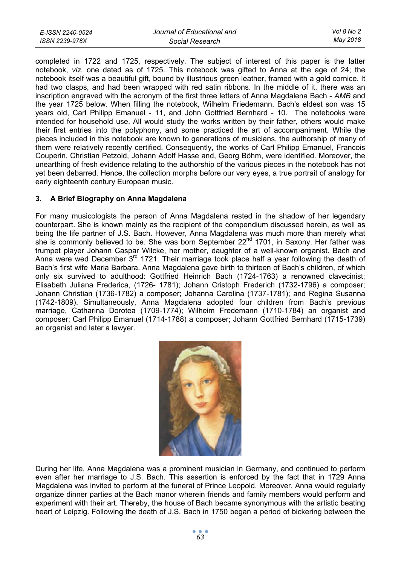| E-ISSN 2240-0524 | Journal of Educational and | Vol 8 No 2 |
|------------------|----------------------------|------------|
| ISSN 2239-978X   | Social Research            | Mav 2018   |

completed in 1722 and 1725, respectively. The subject of interest of this paper is the latter notebook, *viz*. one dated as of 1725. This notebook was gifted to Anna at the age of 24; the notebook itself was a beautiful gift, bound by illustrious green leather, framed with a gold cornice. It had two clasps, and had been wrapped with red satin ribbons. In the middle of it, there was an inscription engraved with the acronym of the first three letters of Anna Magdalena Bach - *AMB* and the year 1725 below. When filling the notebook, Wilhelm Friedemann, Bach's eldest son was 15 years old, Carl Philipp Emanuel - 11, and John Gottfried Bernhard - 10. The notebooks were intended for household use. All would study the works written by their father, others would make their first entries into the polyphony, and some practiced the art of accompaniment. While the pieces included in this notebook are known to generations of musicians, the authorship of many of them were relatively recently certified. Consequently, the works of Carl Philipp Emanuel, Francois Couperin, Christian Petzold, Johann Adolf Hasse and, Georg Böhm, were identified. Moreover, the unearthing of fresh evidence relating to the authorship of the various pieces in the notebook has not yet been debarred. Hence, the collection morphs before our very eyes, a true portrait of analogy for early eighteenth century European music.

## **3. A Brief Biography on Anna Magdalena**

For many musicologists the person of Anna Magdalena rested in the shadow of her legendary counterpart. She is known mainly as the recipient of the compendium discussed herein, as well as being the life partner of J.S. Bach. However, Anna Magdalena was much more than merely what she is commonly believed to be. She was born September  $22<sup>nd</sup>$  1701, in Saxony. Her father was trumpet player Johann Caspar Wilcke, her mother, daughter of a well-known organist. Bach and Anna were wed December  $3<sup>rd</sup>$  1721. Their marriage took place half a year following the death of Bach's first wife Maria Barbara. Anna Magdalena gave birth to thirteen of Bach's children, of which only six survived to adulthood: Gottfried Heinrich Bach (1724-1763) a renowned clavecinist; Elisabeth Juliana Frederica, (1726- 1781); Johann Cristoph Frederich (1732-1796) a composer; Johann Christian (1736-1782) a composer; Johanna Carolina (1737-1781); and Regina Susanna (1742-1809). Simultaneously, Anna Magdalena adopted four children from Bach's previous marriage, Catharina Dorotea (1709-1774); Wilheim Fredemann (1710-1784) an organist and composer; Carl Philipp Emanuel (1714-1788) a composer; Johann Gottfried Bernhard (1715-1739) an organist and later a lawyer.



During her life, Anna Magdalena was a prominent musician in Germany, and continued to perform even after her marriage to J.S. Bach. This assertion is enforced by the fact that in 1729 Anna Magdalena was invited to perform at the funeral of Prince Leopold. Moreover, Anna would regularly organize dinner parties at the Bach manor wherein friends and family members would perform and experiment with their art. Thereby, the house of Bach became synonymous with the artistic beating heart of Leipzig. Following the death of J.S. Bach in 1750 began a period of bickering between the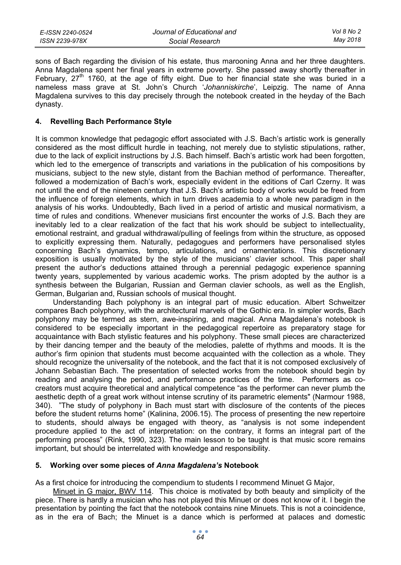| E-ISSN 2240-0524 | Journal of Educational and | Vol 8 No 2 |
|------------------|----------------------------|------------|
| ISSN 2239-978X   | Social Research            | Mav 2018   |

sons of Bach regarding the division of his estate, thus marooning Anna and her three daughters. Anna Magdalena spent her final years in extreme poverty. She passed away shortly thereafter in February,  $27<sup>th</sup>$  1760, at the age of fifty eight. Due to her financial state she was buried in a nameless mass grave at St. John's Church '*Johanniskirche*', Leipzig. The name of Anna Magdalena survives to this day precisely through the notebook created in the heyday of the Bach dynasty.

## **4. Revelling Bach Performance Style**

It is common knowledge that pedagogic effort associated with J.S. Bach's artistic work is generally considered as the most difficult hurdle in teaching, not merely due to stylistic stipulations, rather, due to the lack of explicit instructions by J.S. Bach himself. Bach's artistic work had been forgotten, which led to the emergence of transcripts and variations in the publication of his compositions by musicians, subject to the new style, distant from the Bachian method of performance. Thereafter, followed a modernization of Bach's work, especially evident in the editions of Carl Czerny. It was not until the end of the nineteen century that J.S. Bach's artistic body of works would be freed from the influence of foreign elements, which in turn drives academia to a whole new paradigm in the analysis of his works. Undoubtedly, Bach lived in a period of artistic and musical normativism, a time of rules and conditions. Whenever musicians first encounter the works of J.S. Bach they are inevitably led to a clear realization of the fact that his work should be subject to intellectuality, emotional restraint, and gradual withdrawal/pulling of feelings from within the structure, as opposed to explicitly expressing them. Naturally, pedagogues and performers have personalised styles concerning Bach's dynamics, tempo, articulations, and ornamentations. This discretionary exposition is usually motivated by the style of the musicians' clavier school. This paper shall present the author's deductions attained through a perennial pedagogic experience spanning twenty years, supplemented by various academic works. The prism adopted by the author is a synthesis between the Bulgarian, Russian and German clavier schools, as well as the English, German, Bulgarian and, Russian schools of musical thought.

Understanding Bach polyphony is an integral part of music education. Albert Schweitzer compares Bach polyphony, with the architectural marvels of the Gothic era. In simpler words, Bach polyphony may be termed as stern, awe-inspiring, and magical. Anna Magdalena's notebook is considered to be especially important in the pedagogical repertoire as preparatory stage for acquaintance with Bach stylistic features and his polyphony. These small pieces are characterized by their dancing temper and the beauty of the melodies, palette of rhythms and moods. It is the author's firm opinion that students must become acquainted with the collection as a whole. They should recognize the universality of the notebook, and the fact that it is not composed exclusively of Johann Sebastian Bach. The presentation of selected works from the notebook should begin by reading and analysing the period, and performance practices of the time. Performers as cocreators must acquire theoretical and analytical competence "as the performer can never plumb the aesthetic depth of a great work without intense scrutiny of its parametric elements" (Narmour 1988, 340). "The study of polyphony in Bach must start with disclosure of the contents of the pieces before the student returns home" (Kalinina, 2006.15). The process of presenting the new repertoire to students, should always be engaged with theory, as "analysis is not some independent procedure applied to the act of interpretation: on the contrary, it forms an integral part of the performing process" (Rink, 1990, 323). The main lesson to be taught is that music score remains important, but should be interrelated with knowledge and responsibility.

### **5. Working over some pieces of** *Anna Magdalena's* **Notebook**

As a first choice for introducing the compendium to students I recommend Minuet G Major,

Minuet in G major, BWV 114. This choice is motivated by both beauty and simplicity of the piece. There is hardly a musician who has not played this Minuet or does not know of it. I begin the presentation by pointing the fact that the notebook contains nine Minuets. This is not a coincidence, as in the era of Bach; the Minuet is a dance which is performed at palaces and domestic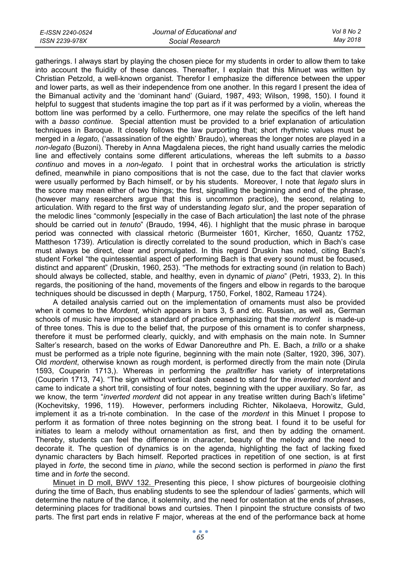| E-ISSN 2240-0524 | Journal of Educational and | Vol 8 No 2 |
|------------------|----------------------------|------------|
| ISSN 2239-978X   | Social Research            | May 2018   |

gatherings. I always start by playing the chosen piece for my students in order to allow them to take into account the fluidity of these dances. Thereafter, I explain that this Minuet was written by Christian Petzold, a well-known organist. Therefor I emphasize the difference between the upper and lower parts, as well as their independence from one another. In this regard I present the idea of the Bimanual activity and the 'dominant hand' (Guiard, 1987, 493; Wilson, 1998, 150). I found it helpful to suggest that students imagine the top part as if it was performed by a violin, whereas the bottom line was performed by a cello. Furthermore, one may relate the specifics of the left hand with a *basso continue*. Special attention must be provided to a brief explanation of articulation techniques in Baroque. It closely follows the law purporting that; short rhythmic values must be merged in a *legato,* ('assassination of the eighth' Braudo), whereas the longer notes are played in a *non-legato* (Buzoni). Thereby in Anna Magdalena pieces, the right hand usually carries the melodic line and effectively contains some different articulations, whereas the left submits to a *basso continuo* and moves in a *non-legato*. I point that in orchestral works the articulation is strictly defined, meanwhile in piano compositions that is not the case, due to the fact that clavier works were usually performed by Bach himself, or by his students. Moreover, I note that *legato* slurs in the score may mean either of two things; the first, signalling the beginning and end of the phrase, (however many researchers argue that this is uncommon practice), the second, relating to articulation. With regard to the first way of understanding *legato* slur, and the proper separation of the melodic lines "commonly [especially in the case of Bach articulation] the last note of the phrase should be carried out in *tenuto*" (Braudo, 1994, 46). I highlight that the music phrase in baroque period was connected with classical rhetoric (Burmeister 1601, Kircher, 1650, Quantz 1752, Mattheson 1739). Articulation is directly correlated to the sound production, which in Bach's case must always be direct, clear and promulgated. In this regard Druskin has noted, citing Bach's student Forkel "the quintessential aspect of performing Bach is that every sound must be focused, distinct and apparent" (Druskin, 1960, 253). "The methods for extracting sound (in relation to Bach) should always be collected, stable, and healthy, even in dynamic of *piano*" (Petri, 1933, 2). In this regards, the positioning of the hand, movements of the fingers and elbow in regards to the baroque techniques should be discussed in depth ( Marpurg, 1750, Forkel, 1802, Rameau 1724).

A detailed analysis carried out on the implementation of ornaments must also be provided when it comes to the *Mordent,* which appears in bars 3, 5 and etc. Russian, as well as, German schools of music have imposed a standard of practice emphasizing that the *mordent* is made-up of three tones. This is due to the belief that, the purpose of this ornament is to confer sharpness, therefore it must be performed clearly, quickly, and with emphasis on the main note. In Sumner Salter's research, based on the works of Edwar Danoreuthre and Ph. E. Bach, a *trillo* or a shake must be performed as a triple note figurine, beginning with the main note (Salter, 1920, 396, 307). Old *mordent*, otherwise known as rough mordent, is performed directly from the main note (Dirula 1593, Couperin 1713,). Whereas in performing the *pralltrifler* has variety of interpretations (Couperin 1713, 74). "The sign without vertical dash ceased to stand for the *inverted mordent* and came to indicate a short trill, consisting of four notes, beginning with the upper auxiliary. So far, as we know, the term "*inverted mordent* did not appear in any treatise written during Bach's lifetime" (Kochevitsky, 1996, 119). However, performers including Richter, Nikolaeva, Horowitz, Guld, implement it as a tri-note combination. In the case of the *mordent* in this Minuet I propose to perform it as formation of three notes beginning on the strong beat. I found it to be useful for initiates to learn a melody without ornamentation as first, and then by adding the ornament. Thereby, students can feel the difference in character, beauty of the melody and the need to decorate it. The question of dynamics is on the agenda, highlighting the fact of lacking fixed dynamic characters by Bach himself. Reported practices in repetition of one section, is at first played in *forte*, the second time in *piano*, while the second section is performed in *piano* the first time and in *forte* the second.

Minuet in D moll, BWV 132. Presenting this piece, I show pictures of bourgeoisie clothing during the time of Bach, thus enabling students to see the splendour of ladies' garments, which will determine the nature of the dance, it solemnity, and the need for ostentation at the ends of phrases, determining places for traditional bows and curtsies. Then I pinpoint the structure consists of two parts. The first part ends in relative F major, whereas at the end of the performance back at home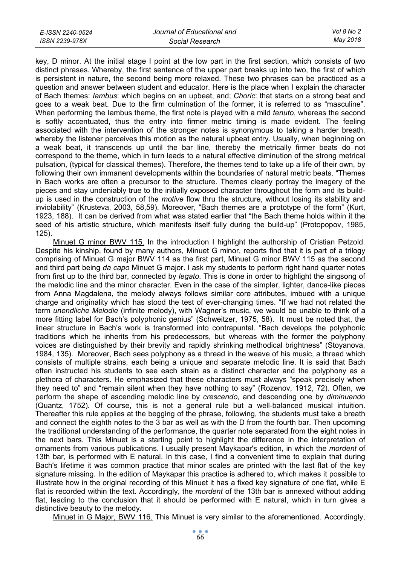| E-ISSN 2240-0524 | Journal of Educational and | Vol 8 No 2 |
|------------------|----------------------------|------------|
| ISSN 2239-978X   | Social Research            | Mav 2018   |

key, D minor. At the initial stage I point at the low part in the first section, which consists of two distinct phrases. Whereby, the first sentence of the upper part breaks up into two, the first of which is persistent in nature, the second being more relaxed. These two phrases can be practiced as a question and answer between student and educator. Here is the place when I explain the character of Bach themes: *Iambus*: which begins on an upbeat, and; *Choric*: that starts on a strong beat and goes to a weak beat. Due to the firm culmination of the former, it is referred to as "masculine". When performing the Iambus theme, the first note is played with a mild *tenuto*, whereas the second is softly accentuated, thus the entry into firmer metric timing is made evident. The feeling associated with the intervention of the stronger notes is synonymous to taking a harder breath, whereby the listener perceives this motion as the natural upbeat entry. Usually, when beginning on a weak beat, it transcends up until the bar line, thereby the metrically firmer beats do not correspond to the theme, which in turn leads to a natural effective diminution of the strong metrical pulsation, (typical for classical themes). Therefore, the themes tend to take up a life of their own, by following their own immanent developments within the boundaries of natural metric beats. "Themes in Bach works are often a precursor to the structure. Themes clearly portray the imagery of the pieces and stay undeniably true to the initially exposed character throughout the form and its buildup is used in the construction of the *motive* flow thru the structure, without losing its stability and inviolability" (Krusteva, 2003, 58,59). Moreover, "Bach themes are a prototype of the form" (Kurt, 1923, 188). It can be derived from what was stated earlier that "the Bach theme holds within it the seed of his artistic structure, which manifests itself fully during the build-up" (Protopopov, 1985, 125).

Minuet G minor BWV 115. In the introduction I highlight the authorship of Cristian Petzold. Despite his kinship, found by many authors, Minuet G minor, reports find that it is part of a trilogy comprising of Minuet G major BWV 114 as the first part, Minuet G minor BWV 115 as the second and third part being *da capo* Minuet G major. I ask my students to perform right hand quarter notes from first up to the third bar, connected by *legato*. This is done in order to highlight the singsong of the melodic line and the minor character. Even in the case of the simpler, lighter, dance-like pieces from Anna Magdalena, the melody always follows similar core attributes, imbued with a unique charge and originality which has stood the test of ever-changing times. "If we had not related the term *unendliche Melodie* (infinite melody), with Wagner's music, we would be unable to think of a more fitting label for Bach's polyphonic genius" (Schweitzer, 1975, 58). It must be noted that, the linear structure in Bach's work is transformed into contrapuntal. "Bach develops the polyphonic traditions which he inherits from his predecessors, but whereas with the former the polyphony voices are distinguished by their brevity and rapidly shrinking methodical brightness" (Stoyanova, 1984, 135). Moreover, Bach sees polyphony as a thread in the weave of his music, a thread which consists of multiple strains, each being a unique and separate melodic line. It is said that Bach often instructed his students to see each strain as a distinct character and the polyphony as a plethora of characters. He emphasized that these characters must always "speak precisely when they need to" and "remain silent when they have nothing to say" (Rozenov, 1912, 72). Often, we perform the shape of ascending melodic line by *crescendo,* and descending one by *diminuendo*  (Quantz, 1752)*.* Of course, this is not a general rule but a well-balanced musical intuition. Thereafter this rule applies at the begging of the phrase, following, the students must take a breath and connect the eighth notes to the 3 bar as well as with the D from the fourth bar. Then upcoming the traditional understanding of the performance, the quarter note separated from the eight notes in the next bars. This Minuet is a starting point to highlight the difference in the interpretation of ornaments from various publications. I usually present Maykapar's edition, in which the *mordent* of 13th bar, is performed with E natural. In this case, I find a convenient time to explain that during Bach's lifetime it was common practice that minor scales are printed with the last flat of the key signature missing. In the edition of Maykapar this practice is adhered to, which makes it possible to illustrate how in the original recording of this Minuet it has a fixed key signature of one flat, while E flat is recorded within the text. Accordingly, the *mordent* of the 13th bar is annexed without adding flat, leading to the conclusion that it should be performed with E natural, which in turn gives a distinctive beauty to the melody.

Minuet in G Major, BWV 116. This Minuet is very similar to the aforementioned. Accordingly,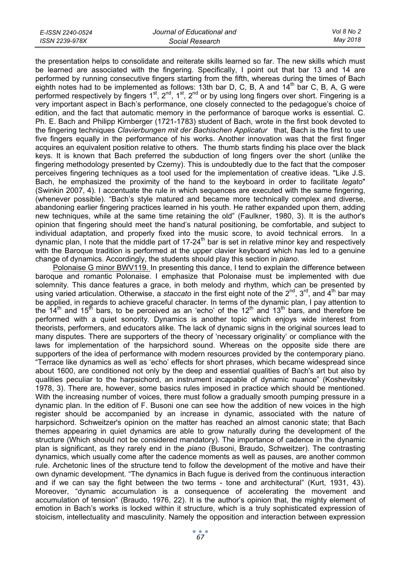| E-ISSN 2240-0524 | Journal of Educational and | Vol 8 No 2 |
|------------------|----------------------------|------------|
| ISSN 2239-978X   | Social Research            | May 2018   |

the presentation helps to consolidate and reiterate skills learned so far. The new skills which must be learned are associated with the fingering. Specifically, I point out that bar 13 and 14 are performed by running consecutive fingers starting from the fifth, whereas during the times of Bach eighth notes had to be implemented as follows: 13th bar D, C, B, A and 14<sup>th</sup> bar C, B, A, G were performed respectively by fingers 1<sup>st</sup>, 2<sup>nd</sup>, 1<sup>st</sup>, 2<sup>nd</sup> or by using long fingers over short. Fingering is a very important aspect in Bach's performance, one closely connected to the pedagogue's choice of edition, and the fact that automatic memory in the performance of baroque works is essential. C. Ph. E. Bach and Philipp Kirnberger (1721-1783) student of Bach, wrote in the first book devoted to the fingering techniques *Clavierbungen mit der Bachischen Applicatur* that, Bach is the first to use five fingers equally in the performance of his works. Another innovation was that the first finger acquires an equivalent position relative to others. The thumb starts finding his place over the black keys. It is known that Bach preferred the subduction of long fingers over the short (unlike the fingering methodology presented by Czerny). This is undoubtedly due to the fact that the composer perceives fingering techniques as a tool used for the implementation of creative ideas. "Like J.S. Bach, he emphasized the proximity of the hand to the keyboard in order to facilitate *legato*" (Swinkin 2007, 4). I accentuate the rule in which sequences are executed with the same fingering, (whenever possible). "Bach's style matured and became more technically complex and diverse, abandoning earlier fingering practices learned in his youth. He rather expanded upon them, adding new techniques, while at the same time retaining the old" (Faulkner, 1980, 3). It is the author's opinion that fingering should meet the hand's natural positioning, be comfortable, and subject to individual adaptation, and properly fixed into the music score, to avoid technical errors. In a dynamic plan, I note that the middle part of  $17\text{-}24^{\text{th}}$  bar is set in relative minor key and respectively with the Baroque tradition is performed at the upper clavier keyboard which has led to a genuine change of dynamics. Accordingly, the students should play this section in *piano*.

Polonaise G minor BWV119. In presenting this dance, I tend to explain the difference between baroque and romantic Polonaise. I emphasize that Polonaise must be implemented with due solemnity. This dance features a grace, in both melody and rhythm, which can be presented by using varied articulation. Otherwise, a *staccato* in the first eight note of the 2<sup>nd</sup>, 3<sup>rd</sup>, and 4<sup>th</sup> bar may be applied, in regards to achieve graceful character. In terms of the dynamic plan, I pay attention to the  $14<sup>th</sup>$  and  $15<sup>th</sup>$  bars, to be perceived as an 'echo' of the  $12<sup>th</sup>$  and  $13<sup>th</sup>$  bars, and therefore be performed with a quiet sonority. Dynamics is another topic which enjoys wide interest from theorists, performers, and educators alike. The lack of dynamic signs in the original sources lead to many disputes. There are supporters of the theory of 'necessary originality' or compliance with the laws for implementation of the harpsichord sound. Whereas on the opposite side there are supporters of the idea of performance with modern resources provided by the contemporary piano. "Terrace like dynamics as well as 'echo' effects for short phrases, which became widespread since about 1600, are conditioned not only by the deep and essential qualities of Bach's art but also by qualities peculiar to the harpsichord, an instrument incapable of dynamic nuance" (Koshevitsky 1978, 3). There are, however, some basics rules imposed in practice which should be mentioned. With the increasing number of voices, there must follow a gradually smooth pumping pressure in a dynamic plan. In the edition of F. Busoni one can see how the addition of new voices in the high register should be accompanied by an increase in dynamic, associated with the nature of harpsichord. Schweitzer's opinion on the matter has reached an almost canonic state; that Bach themes appearing in quiet dynamics are able to grow naturally during the development of the structure (Which should not be considered mandatory). The importance of cadence in the dynamic plan is significant, as they rarely end in the *piano* (Busoni, Braudo, Schweitzer). The contrasting dynamics, which usually come after the cadence moments as well as pauses, are another common rule. Archetonic lines of the structure tend to follow the development of the motive and have their own dynamic development. "The dynamics in Bach fugue is derived from the continuous interaction and if we can say the fight between the two terms - tone and architectural" (Kurt, 1931, 43). Moreover, "dynamic accumulation is a consequence of accelerating the movement and accumulation of tension" (Braudo, 1976, 22). It is the author's opinion that, the mighty element of emotion in Bach's works is locked within it structure, which is a truly sophisticated expression of stoicism, intellectuality and masculinity. Namely the opposition and interaction between expression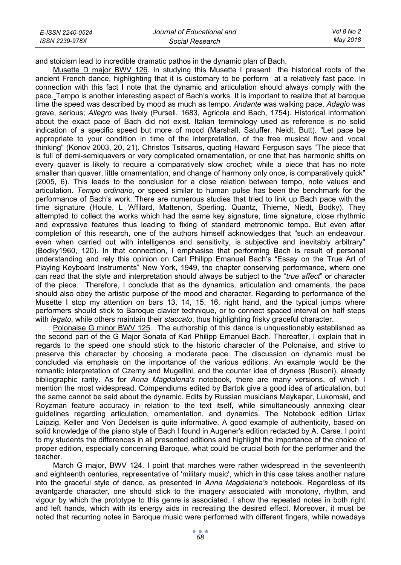| E-ISSN 2240-0524 | Journal of Educational and | Vol 8 No 2 |
|------------------|----------------------------|------------|
| ISSN 2239-978X   | Social Research            | Mav 2018   |

and stoicism lead to incredible dramatic pathos in the dynamic plan of Bach.

Musette D major BWV 126. In studying this Musette I present the historical roots of the ancient French dance, highlighting that it is customary to be perform at a relatively fast pace. In connection with this fact I note that the dynamic and articulation should always comply with the pace. Tempo is another interesting aspect of Bach's works. It is important to realize that at baroque time the speed was described by mood as much as tempo. *Andante* was walking pace, *Adagio* was grave, serious; *Allegro* was lively (Pursell, 1683, Agricola and Bach, 1754). Historical information about the exact pace of Bach did not exist. Italian terminology used as reference is no solid indication of a specific speed but more of mood (Marshall, Satuffer, Neidt, Butt). "Let pace be appropriate to your condition in time of the interpretation, of the free musical flow and vocal thinking" (Konov 2003, 20, 21). Christos Tsitsaros, quoting Haward Ferguson says "The piece that is full of demi-semiquavers or very complicated ornamentation, or one that has harmonic shifts on every quaver is likely to require a comparatively slow crochet; while a piece that has no note smaller than quaver, little ornamentation, and change of harmony only once, is comparatively quick" (2005, 6). This leads to the conclusion for a close relation between tempo, note values and articulation. *Tempo ordinario*, or speed similar to human pulse has been the benchmark for the performance of Bach's work. There are numerous studies that tried to link up Bach pace with the time signature (Houle, L 'Affilard, Mattenon, Sperling. Quantz, Thieme, Niedt, Bodky). They attempted to collect the works which had the same key signature, time signature, close rhythmic and expressive features thus leading to fixing of standard metronomic tempo. But even after completion of this research, one of the authors himself acknowledges that "such an endeavour, even when carried out with intelligence and sensitivity, is subjective and inevitably arbitrary" (Bodky1960, 120). In that connection, I emphasise that performing Bach is result of personal understanding and rely this opinion on Carl Philipp Emanuel Bach's "Essay on the True Art of Playing Keyboard Instruments" New York, 1949, the chapter conserving performance, where one can read that the style and interpretation should always be subject to the "*true affect*" or character of the piece. Therefore, I conclude that as the dynamics, articulation and ornaments, the pace should also obey the artistic purpose of the mood and character. Regarding to performance of the Musette I stop my attention on bars 13, 14, 15, 16, right hand, and the typical jumps where performers should stick to Baroque clavier technique, or to connect spaced interval on half steps with *legato*, while others maintain their *staccato*, thus highlighting frisky graceful character.

Polonaise G minor BWV 125. The authorship of this dance is unquestionably established as the second part of the G Major Sonata of Karl Philipp Emanuel Bach. Thereafter, I explain that in regards to the speed one should stick to the historic character of the Polonaise, and strive to preserve this character by choosing a moderate pace. The discussion on dynamic must be concluded via emphasis on the importance of the various editions. An example would be the romantic interpretation of Czerny and Mugellini, and the counter idea of dryness (Busoni), already bibliographic rarity. As for *Anna Magdalena's* notebook, there are many versions, of which I mention the most widespread. Compendiums edited by Bartok give a good idea of articulation, but the same cannot be said about the dynamic. Edits by Russian musicians Maykapar, Lukomski, and Royzman feature accuracy in relation to the text itself, while simultaneously annexing clear guidelines regarding articulation, ornamentation, and dynamics. The Notebook edition Urtex Laipzig, Keller and Von Dedelsen is quite informative. A good example of authenticity, based on solid knowledge of the piano style of Bach I found in Augener's edition redacted by A. Carse. I point to my students the differences in all presented editions and highlight the importance of the choice of proper edition, especially concerning Baroque, what could be crucial both for the performer and the teacher.

March G major, BWV 124. I point that marches were rather widespread in the seventeenth and eighteenth centuries, representative of 'military music', which in this case takes another nature into the graceful style of dance, as presented in *Anna Magdalena's* notebook. Regardless of its avantgarde character, one should stick to the imagery associated with monotony, rhythm, and vigour by which the prototype to this genre is associated. I show the repeated notes in both right and left hands, which with its energy aids in recreating the desired effect. Moreover, it must be noted that recurring notes in Baroque music were performed with different fingers, while nowadays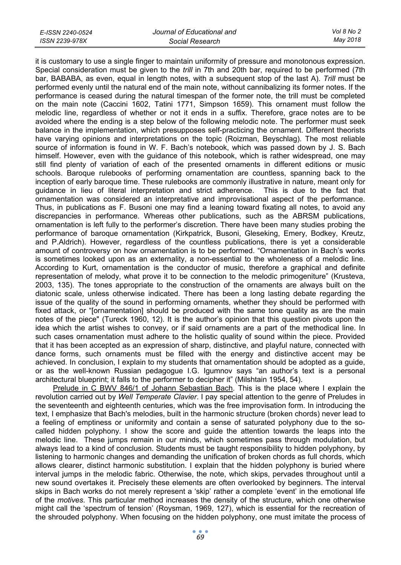| E-ISSN 2240-0524 | Journal of Educational and | Vol 8 No 2 |
|------------------|----------------------------|------------|
| ISSN 2239-978X   | Social Research            | May 2018   |

it is customary to use a single finger to maintain uniformity of pressure and monotonous expression. Special consideration must be given to the *trill* in 7th and 20th bar, required to be performed (7th bar, BABABA, as even, equal in length notes, with a subsequent stop of the last A). *Trill* must be performed evenly until the natural end of the main note, without cannibalizing its former notes. If the performance is ceased during the natural timespan of the former note, the trill must be completed on the main note (Caccini 1602, Tatini 1771, Simpson 1659). This ornament must follow the melodic line, regardless of whether or not it ends in a suffix. Therefore, grace notes are to be avoided where the ending is a step below of the following melodic note. The performer must seek balance in the implementation, which presupposes self-practicing the ornament. Different theorists have varying opinions and interpretations on the topic (Roizman, Beyschlag). The most reliable source of information is found in W. F. Bach's notebook, which was passed down by J. S. Bach himself. However, even with the guidance of this notebook, which is rather widespread, one may still find plenty of variation of each of the presented ornaments in different editions or music schools. Baroque rulebooks of performing ornamentation are countless, spanning back to the inception of early baroque time. These rulebooks are commonly illustrative in nature, meant only for guidance in lieu of literal interpretation and strict adherence. This is due to the fact that ornamentation was considered an interpretative and improvisational aspect of the performance. Thus, in publications as F. Busoni one may find a leaning toward fixating all notes, to avoid any discrepancies in performance. Whereas other publications, such as the ABRSM publications, ornamentation is left fully to the performer's discretion. There have been many studies probing the performance of baroque ornamentation (Kirkpatrick, Busoni, Gleseking, Emery, Bodkey, Kreutz, and P.Aldrich). However, regardless of the countless publications, there is yet a considerable amount of controversy on how ornamentation is to be performed. "Ornamentation in Bach's works is sometimes looked upon as an externality, a non-essential to the wholeness of a melodic line. According to Kurt, ornamentation is the conductor of music, therefore a graphical and definite representation of melody, what prove it to be connection to the melodic primogeniture" (Krusteva, 2003, 135). The tones appropriate to the construction of the ornaments are always built on the diatonic scale, unless otherwise indicated. There has been a long lasting debate regarding the issue of the quality of the sound in performing ornaments, whether they should be performed with fixed attack, or "[ornamentation] should be produced with the same tone quality as are the main notes of the piece" (Tureck 1960, 12). It is the author's opinion that this question pivots upon the idea which the artist wishes to convey, or if said ornaments are a part of the methodical line. In such cases ornamentation must adhere to the holistic quality of sound within the piece. Provided that it has been accepted as an expression of sharp, distinctive, and playful nature, connected with dance forms, such ornaments must be filled with the energy and distinctive accent may be achieved. In conclusion, I explain to my students that ornamentation should be adopted as a guide, or as the well-known Russian pedagogue I.G. Igumnov says "an author's text is a personal architectural blueprint; it falls to the performer to decipher it" (Milshtain 1954, 54).

Prelude in C BWV 846/1 of Johann Sebastian Bach. This is the place where I explain the revolution carried out by *Well Temperate Clavier*. I pay special attention to the genre of Preludes in the seventeenth and eighteenth centuries, which was the free improvisation form. In introducing the text, I emphasize that Bach's melodies, built in the harmonic structure (broken chords) never lead to a feeling of emptiness or uniformity and contain a sense of saturated polyphony due to the socalled hidden polyphony. I show the score and guide the attention towards the leaps into the melodic line. These jumps remain in our minds, which sometimes pass through modulation, but always lead to a kind of conclusion. Students must be taught responsibility to hidden polyphony, by listening to harmonic changes and demanding the unification of broken chords as full chords, which allows clearer, distinct harmonic substitution. I explain that the hidden polyphony is buried where interval jumps in the melodic fabric. Otherwise, the note, which skips, pervades throughout until a new sound overtakes it. Precisely these elements are often overlooked by beginners. The interval skips in Bach works do not merely represent a 'skip' rather a complete 'event' in the emotional life of the *motives*. This particular method increases the density of the structure, which one otherwise might call the 'spectrum of tension' (Roysman, 1969, 127), which is essential for the recreation of the shrouded polyphony. When focusing on the hidden polyphony, one must imitate the process of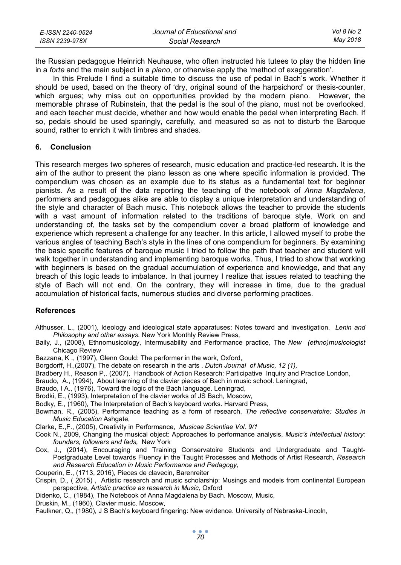| E-ISSN 2240-0524 | Journal of Educational and | Vol 8 No 2 |
|------------------|----------------------------|------------|
| ISSN 2239-978X   | Social Research            | May 2018   |

the Russian pedagogue Heinrich Neuhause, who often instructed his tutees to play the hidden line in a *forte* and the main subject in a *piano*, or otherwise apply the 'method of exaggeration'.

In this Prelude I find a suitable time to discuss the use of pedal in Bach's work. Whether it should be used, based on the theory of 'dry, original sound of the harpsichord' or thesis-counter, which argues; why miss out on opportunities provided by the modern piano. However, the memorable phrase of Rubinstein, that the pedal is the soul of the piano, must not be overlooked, and each teacher must decide, whether and how would enable the pedal when interpreting Bach. If so, pedals should be used sparingly, carefully, and measured so as not to disturb the Baroque sound, rather to enrich it with timbres and shades.

### **6. Conclusion**

This research merges two spheres of research, music education and practice-led research. It is the aim of the author to present the piano lesson as one where specific information is provided. The compendium was chosen as an example due to its status as a fundamental text for beginner pianists. As a result of the data reporting the teaching of the notebook of *Anna Magdalena*, performers and pedagogues alike are able to display a unique interpretation and understanding of the style and character of Bach music. This notebook allows the teacher to provide the students with a vast amount of information related to the traditions of baroque style. Work on and understanding of, the tasks set by the compendium cover a broad platform of knowledge and experience which represent a challenge for any teacher. In this article, I allowed myself to probe the various angles of teaching Bach's style in the lines of one compendium for beginners. By examining the basic specific features of baroque music I tried to follow the path that teacher and student will walk together in understanding and implementing baroque works. Thus, I tried to show that working with beginners is based on the gradual accumulation of experience and knowledge, and that any breach of this logic leads to imbalance. In that journey I realize that issues related to teaching the style of Bach will not end. On the contrary, they will increase in time, due to the gradual accumulation of historical facts, numerous studies and diverse performing practices.

## **References**

- Althusser, L., (2001), Ideology and ideological state apparatuses: Notes toward and investigation. *Lenin and Philosophy and other essays.* New York Monthly Review Press,
- Baily, J., (2008), Ethnomusicology, Intermusability and Performance practice, The *New (ethno)musicologist*  Chicago Review

Bazzana, K ., (1997), Glenn Gould: The performer in the work, Oxford,

Borgdorff, H.,(2007), The debate on research in the arts . *Dutch Journal of Music, 12 (1),* 

- Bradbery H., Reason P,. (2007), Handbook of Action Research: Participative Inquiry and Practice London,
- Braudo, А., (1994), About learning of the clavier pieces of Bach in music school. Leningrad,

Braudo, I A., (1976), Toward the logic of the Bach language. Leningrad,

Brodki, E., (1993), Interpretation of the clavier works of JS Bach, Moscow,

Bodky, E., (1960), The Interpretation of Bach's keyboard works. Harvard Press,

Bowman, R., (2005), Performance teaching as a form of research. *The reflective conservatoire: Studies in Music Education* Ashgate,

Clarke, E.,F., (2005), Creativity in Performance, *Musicae Scientiae Vol. 9/1* 

Cook N., 2009, Changing the musical object: Approaches to performance analysis, *Music's Intellectual history: founders, followers and fads,* New York

Cox, J., (2014), Encouraging and Training Conservatoire Students and Undergraduate and Taught-Postgraduate Level towards Fluency in the Taught Processes and Methods of Artist Research, *Research and Research Education in Music Performance and Pedagogy,* 

Couperin, E., (1713, 2016), Pieces de clavecin, Barenreiter

- Crispin, D., ( 2015) , Artistic research and music scholarship: Musings and models from continental European perspective, *Artistic practice as research in Music,* Oxford
- Didenko, C., (1984), The Notebook of Anna Magdalena by Bach. Moscow, Music,

Druskin, М., (1960), Clavier music. Moscow,

Faulkner, Q., (1980), J S Bach's keyboard fingering: New evidence. University of Nebraska-Lincoln,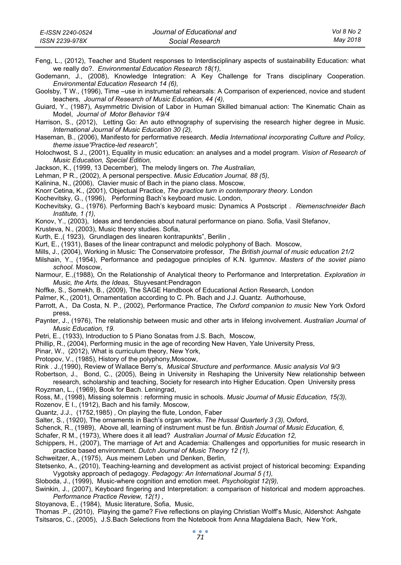| E-ISSN 2240-0524 | Journal of Educational and | Vol 8 No 2 |
|------------------|----------------------------|------------|
| ISSN 2239-978X   | Social Research            | May 2018   |

- Feng, L., (2012), Teacher and Student responses to Interdisciplinary aspects of sustainability Education: what we really do?. *Environmental Education Research 18(1),*
- Godemann, J., (2008), Knowledge Integration: A Key Challenge for Trans disciplinary Cooperation. *Environmental Education Research 14 (6),*

Goolsby, T W., (1996), Time –use in instrumental rehearsals: A Comparison of experienced, novice and student teachers, *Journal of Research of Music Education, 44 (4),* 

Guiard, Y., (1987), Asymmetric Division of Labor in Human Skilled bimanual action: The Kinematic Chain as Model, *Journal of Motor Behavior 19/4*

- Harrison, S., (2012), Letting Go: An auto ethnography of supervising the research higher degree in Music. *International Journal of Music Education 30 (2),*
- Haseman, B., (2006), Manifesto for performative research. *Media International incorporating Culture and Policy, theme issue"Practice-led research",*
- Holochwost, S J., (2001), Equality in music education: an analyses and a model program. *Vision of Research of Music Education, Special Edition,*

Jackson, K., (1999, 13 December), The melody lingers on. *The Australian,*

Lehman, P R., (2002), A personal perspective. *Music Education Journal, 88 (5),* 

Kalinina, N., (2006), Clavier music of Bach in the piano class. Moscow,

Knorr Cetina, K., (2001), Objectual Practice, *The practice turn in contemporary theory.* London

Kochevitsky, G., (1996), Performing Bach's keyboard music. London,

- Kochevitsky, G., (1976). Performing Bach's keyboard music: Dynamics A Postscript . *Riemenschneider Bach Institute, 1 (1),*
- Konov, Y., (2003), Ideas and tendencies about natural performance on piano. Sofia, Vasil Stefanov,
- Krusteva, N., (2003), Music theory studies. Sofia,
- Кurth, E.,( 1923), Grundlagen des linearen kontrapunkts", Berilin ,
- Kurt, E., (1931), Bases of the linear contrapunct and melodic polyphony of Bach. Moscow,
- Mills, J., (2004), Working in Music: The Conservatoire professor, *The British journal of music education 21/2*
- Milshain, Y., (1954), Performance and pedagogue principles of K.N. Igumnov. *Masters of the soviet piano school.* Moscow,
- Narmour, E.,(1988), On the Relationship of Analytical theory to Performance and Interpretation. *Exploration in Music, the Arts, the Ideas,* Stuyvesant:Pendragon
- Noffke, S., Somekh, B., (2009), The SAGE Handbook of Educational Action Research, London
- Palmer, K., (2001), Ornamentation according to C. Ph. Bach and J.J. Quantz. Authorhouse,
- Parrott, A., Da Costa, N. P., (2002), Performance Practice, *The Oxford companion to music* New York Oxford press,
- Paynter, J., (1976), The relationship between music and other arts in lifelong involvement. *Australian Journal of Music Education, 19.*
- Petri, Е., (1933), Introduction to 5 Piano Sonatas from J.S. Bach, Moscow,
- Phillip, R., (2004), Performing music in the age of recording New Haven, Yale University Press,
- Pinar, W., (2012), What is curriculum theory, New York,
- Protopov, V., (1985), History of the polyphony,Moscow,
- Rink . J.,(1990), Review of Wallace Berry's, *Musical Structure and performance. Music analysis Vol 9/3*
- Robertson, J., Bond, C., (2005), Being in University in Reshaping the University New relationship between research, scholarship and teaching, Society for research into Higher Education. Open University press
- Royzman, L., (1969), Book for Bach. Leningrad,
- Ross, M., (1998), Missing solemnis : reforming music in schools. *Music Journal of Music Education, 15(3),*
- Rozenov, Е I., (1912), Bach and his family. Moscow,
- Quantz, J.J., (1752,1985) , On playing the flute, London, Faber
- Salter, S., (1920), The ornaments in Bach's organ works. *The Hussal Quarterly 3 (3),* Oxford,
- Schenck, R., (1989), Above all, learning of instrument must be fun. *British Journal of Music Education, 6,*
- Schafer, R M., (1973), Where does it all lead? *Australian Journal of Music Education 12,*
- Schippers, H., (2007), The marriage of Art and Academia: Challenges and opportunities for music research in practice based environment. *Dutch Journal of Music Theory 12 (1),*
- Schweitzer, A., (1975), Aus meinem Leben und Denken, Berlin,
- Stetsenko, A., (2010), Teaching-learning and development as activist project of historical becoming: Expanding Vygotsky approach of pedagogy. *Pedagogy: An International Journal 5 (1),*
- Sloboda, J., (1999), Music-where cognition and emotion meet. *Psychologist 12(9),*

Swinkin, J., (2007), Keyboard fingering and Interpretation: a comparison of historical and modern approaches. *Performance Practice Review, 12(1) ,*

Stoyanova, Е., (1984), Music literature, Sofia, Music,

Thomas .P., (2010), Playing the game? Five reflections on playing Christian Wolff's Music, Aldershot: Ashgate Tsitsaros, C., (2005), J.S.Bach Selections from the Notebook from Anna Magdalena Bach, New York,